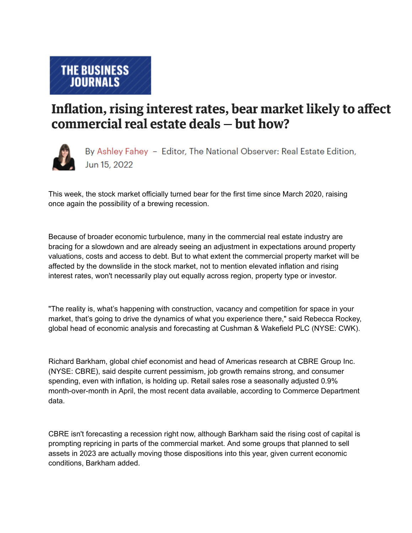## Inflation, rising interest rates, bear market likely to affect commercial real estate deals - but how?



By Ashley Fahey - Editor, The National Observer: Real Estate Edition, Jun 15, 2022

This week, the stock market officially turned bear for the first time since March 2020, raising once again the possibility of a brewing recession.

Because of broader economic turbulence, many in the commercial real estate industry are bracing for a slowdown and are already seeing an adjustment in expectations around property valuations, costs and access to debt. But to what extent the commercial property market will be affected by the downslide in the stock market, not to mention elevated inflation and rising interest rates, won't necessarily play out equally across region, property type or investor.

"The reality is, what's happening with construction, vacancy and competition for space in your market, that's going to drive the dynamics of what you experience there," said Rebecca Rockey, global head of economic analysis and forecasting at Cushman & Wakefield PLC (NYSE: CWK).

Richard Barkham, global chief economist and head of Americas research at CBRE Group Inc. (NYSE: CBRE), said despite current pessimism, job growth remains strong, and consumer spending, even with inflation, is holding up. Retail sales rose a seasonally adjusted 0.9% month-over-month in April, the most recent data available, according to Commerce Department data.

CBRE isn't forecasting a recession right now, although Barkham said the rising cost of capital is prompting repricing in parts of the commercial market. And some groups that planned to sell assets in 2023 are actually moving those dispositions into this year, given current economic conditions, Barkham added.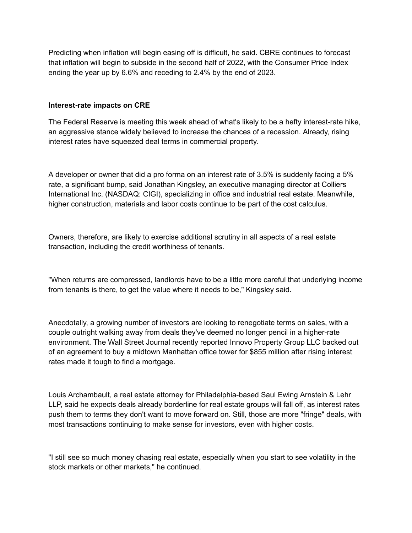Predicting when inflation will begin easing off is difficult, he said. CBRE continues to forecast that inflation will begin to subside in the second half of 2022, with the Consumer Price Index ending the year up by 6.6% and receding to 2.4% by the end of 2023.

## **Interest-rate impacts on CRE**

The Federal Reserve is meeting this week ahead of what's likely to be a hefty interest-rate hike, an aggressive stance widely believed to increase the chances of a recession. Already, rising interest rates have squeezed deal terms in commercial property.

A developer or owner that did a pro forma on an interest rate of 3.5% is suddenly facing a 5% rate, a significant bump, said Jonathan Kingsley, an executive managing director at Colliers International Inc. (NASDAQ: CIGI), specializing in office and industrial real estate. Meanwhile, higher construction, materials and labor costs continue to be part of the cost calculus.

Owners, therefore, are likely to exercise additional scrutiny in all aspects of a real estate transaction, including the credit worthiness of tenants.

"When returns are compressed, landlords have to be a little more careful that underlying income from tenants is there, to get the value where it needs to be," Kingsley said.

Anecdotally, a growing number of investors are looking to renegotiate terms on sales, with a couple outright walking away from deals they've deemed no longer pencil in a higher-rate environment. The Wall Street Journal recently reported Innovo Property Group LLC backed out of an agreement to buy a midtown Manhattan office tower for \$855 million after rising interest rates made it tough to find a mortgage.

Louis Archambault, a real estate attorney for Philadelphia-based Saul Ewing Arnstein & Lehr LLP, said he expects deals already borderline for real estate groups will fall off, as interest rates push them to terms they don't want to move forward on. Still, those are more "fringe" deals, with most transactions continuing to make sense for investors, even with higher costs.

"I still see so much money chasing real estate, especially when you start to see volatility in the stock markets or other markets," he continued.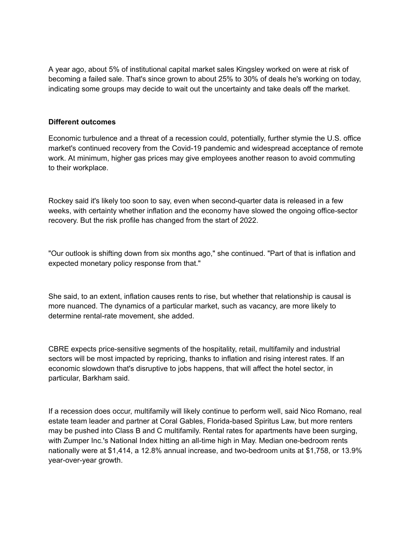A year ago, about 5% of institutional capital market sales Kingsley worked on were at risk of becoming a failed sale. That's since grown to about 25% to 30% of deals he's working on today, indicating some groups may decide to wait out the uncertainty and take deals off the market.

## **Different outcomes**

Economic turbulence and a threat of a recession could, potentially, further stymie the U.S. office market's continued recovery from the Covid-19 pandemic and widespread acceptance of remote work. At minimum, higher gas prices may give employees another reason to avoid commuting to their workplace.

Rockey said it's likely too soon to say, even when second-quarter data is released in a few weeks, with certainty whether inflation and the economy have slowed the ongoing office-sector recovery. But the risk profile has changed from the start of 2022.

"Our outlook is shifting down from six months ago," she continued. "Part of that is inflation and expected monetary policy response from that."

She said, to an extent, inflation causes rents to rise, but whether that relationship is causal is more nuanced. The dynamics of a particular market, such as vacancy, are more likely to determine rental-rate movement, she added.

CBRE expects price-sensitive segments of the hospitality, retail, multifamily and industrial sectors will be most impacted by repricing, thanks to inflation and rising interest rates. If an economic slowdown that's disruptive to jobs happens, that will affect the hotel sector, in particular, Barkham said.

If a recession does occur, multifamily will likely continue to perform well, said Nico Romano, real estate team leader and partner at Coral Gables, Florida-based Spiritus Law, but more renters may be pushed into Class B and C multifamily. Rental rates for apartments have been surging, with Zumper Inc.'s National Index hitting an all-time high in May. Median one-bedroom rents nationally were at \$1,414, a 12.8% annual increase, and two-bedroom units at \$1,758, or 13.9% year-over-year growth.